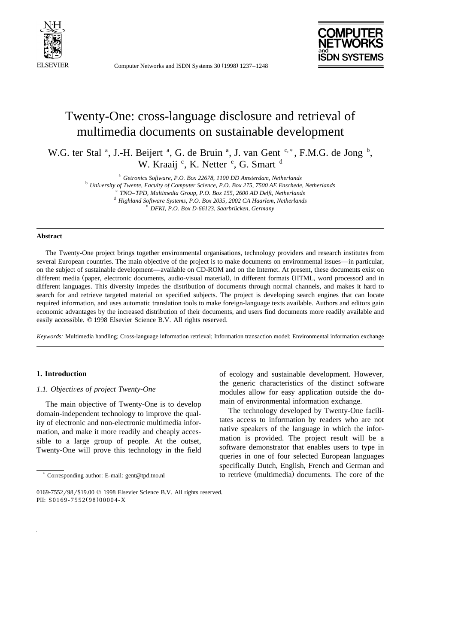

Computer Networks and ISDN Systems 30 (1998) 1237–1248



# Twenty-One: cross-language disclosure and retrieval of multimedia documents on sustainable development

W.G. ter Stal <sup>a</sup>, J.-H. Beijert <sup>a</sup>, G. de Bruin <sup>a</sup>, J. van Gent <sup>c,\*</sup>, F.M.G. de Jong <sup>b</sup>, W. Kraaij <sup>c</sup>, K. Netter <sup>e</sup>, G. Smart <sup>d</sup>

<sup>a</sup> Getronics Software, P.O. Box 22678, 1100 DD Amsterdam, Netherlands<br><sup>b</sup> University of Twente, Faculty of Computer Science, P.O. Box 275, 7500 AE Enschede, Netherlands<br><sup>c</sup> TNO–TPD, Multimedia Group, P.O. Box 155, 2600 A

## **Abstract**

The Twenty-One project brings together environmental organisations, technology providers and research institutes from several European countries. The main objective of the project is to make documents on environmental issues—in particular, on the subject of sustainable development—available on CD-ROM and on the Internet. At present, these documents exist on different media (paper, electronic documents, audio-visual material), in different formats (HTML, word processor) and in different languages. This diversity impedes the distribution of documents through normal channels, and makes it hard to search for and retrieve targeted material on specified subjects. The project is developing search engines that can locate required information, and uses automatic translation tools to make foreign-language texts available. Authors and editors gain economic advantages by the increased distribution of their documents, and users find documents more readily available and easily accessible.  $© 1998$  Elsevier Science B.V. All rights reserved.

*Keywords:* Multimedia handling; Cross-language information retrieval; Information transaction model; Environmental information exchange

## **1. Introduction**

## 1.1. Objectives of project Twenty-One

The main objective of Twenty-One is to develop domain-independent technology to improve the quality of electronic and non-electronic multimedia information, and make it more readily and cheaply accessible to a large group of people. At the outset, Twenty-One will prove this technology in the field of ecology and sustainable development. However, the generic characteristics of the distinct software modules allow for easy application outside the domain of environmental information exchange.

The technology developed by Twenty-One facilitates access to information by readers who are not native speakers of the language in which the information is provided. The project result will be a software demonstrator that enables users to type in queries in one of four selected European languages specifically Dutch, English, French and German and to retrieve (multimedia) documents. The core of the

<sup>)</sup> Corresponding author: E-mail: gent@tpd.tno.nl

<sup>0169-7552/98/\$19.00 © 1998</sup> Elsevier Science B.V. All rights reserved. PII: S0169-7552(98)00004-X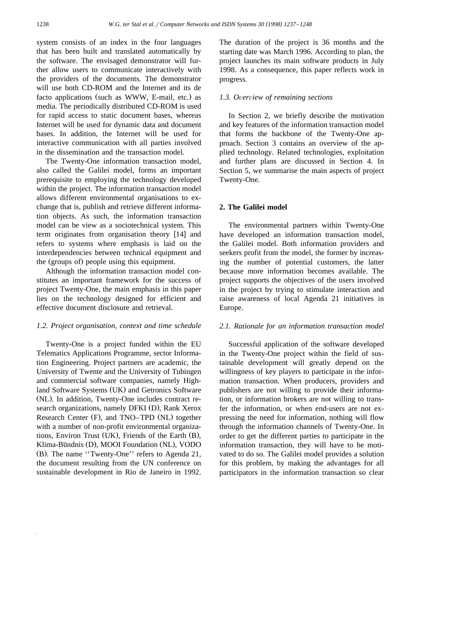system consists of an index in the four languages that has been built and translated automatically by the software. The envisaged demonstrator will further allow users to communicate interactively with the providers of the documents. The demonstrator will use both CD-ROM and the Internet and its de facto applications (such as WWW, E-mail, etc.) as media. The periodically distributed CD-ROM is used for rapid access to static document bases, whereas Internet will be used for dynamic data and document bases. In addition, the Internet will be used for interactive communication with all parties involved in the dissemination and the transaction model.

The Twenty-One information transaction model, also called the Galilei model, forms an important prerequisite to employing the technology developed within the project. The information transaction model allows different environmental organisations to exchange that is, publish and retrieve different information objects. As such, the information transaction model can be view as a sociotechnical system. This term originates from organisation theory [14] and refers to systems where emphasis is laid on the interdependencies between technical equipment and the (groups of) people using this equipment.

Although the information transaction model constitutes an important framework for the success of project Twenty-One, the main emphasis in this paper lies on the technology designed for efficient and effective document disclosure and retrieval.

# *1.2. Project organisation, context and time schedule*

Twenty-One is a project funded within the EU Telematics Applications Programme, sector Information Engineering. Project partners are academic, the University of Twente and the University of Tubingen and commercial software companies, namely Highland Software Systems (UK) and Getronics Software (NL). In addition, Twenty-One includes contract research organizations, namely DFKI (D), Rank Xerox Research Center (F), and TNO–TPD (NL) together with a number of non-profit environmental organizations, Environ Trust  $(UK)$ , Friends of the Earth  $(B)$ , Klima-Bündnis (D), MOOI Foundation (NL), VODO (B). The name "Twenty-One" refers to Agenda 21, the document resulting from the UN conference on sustainable development in Rio de Janeiro in 1992.

The duration of the project is 36 months and the starting date was March 1996. According to plan, the project launches its main software products in July 1998. As a consequence, this paper reflects work in progress.

#### 1.3. Overview of remaining sections

In Section 2, we briefly describe the motivation and key features of the information transaction model that forms the backbone of the Twenty-One approach. Section 3 contains an overview of the applied technology. Related technologies, exploitation and further plans are discussed in Section 4. In Section 5, we summarise the main aspects of project Twenty-One.

## **2. The Galilei model**

The environmental partners within Twenty-One have developed an information transaction model, the Galilei model. Both information providers and seekers profit from the model, the former by increasing the number of potential customers, the latter because more information becomes available. The project supports the objectives of the users involved in the project by trying to stimulate interaction and raise awareness of local Agenda 21 initiatives in Europe.

#### *2.1. Rationale for an information transaction model*

Successful application of the software developed in the Twenty-One project within the field of sustainable development will greatly depend on the willingness of key players to participate in the information transaction. When producers, providers and publishers are not willing to provide their information, or information brokers are not willing to transfer the information, or when end-users are not expressing the need for information, nothing will flow through the information channels of Twenty-One. In order to get the different parties to participate in the information transaction, they will have to be motivated to do so. The Galilei model provides a solution for this problem, by making the advantages for all participators in the information transaction so clear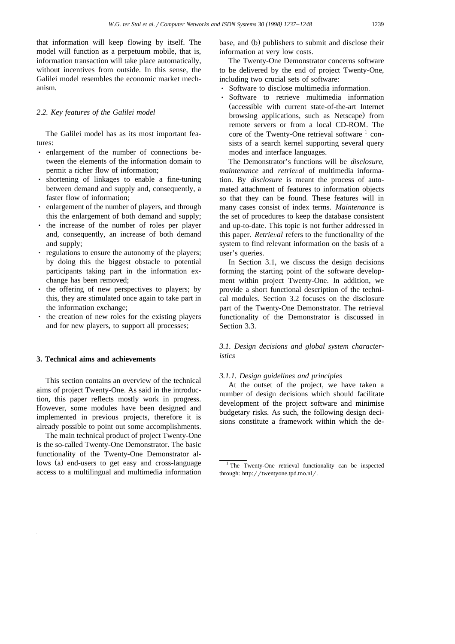that information will keep flowing by itself. The model will function as a perpetuum mobile, that is, information transaction will take place automatically, without incentives from outside. In this sense, the Galilei model resembles the economic market mechanism.

# *2.2. Key features of the Galilei model*

The Galilei model has as its most important features:

- enlargement of the number of connections between the elements of the information domain to permit a richer flow of information;
- shortening of linkages to enable a fine-tuning between demand and supply and, consequently, a faster flow of information;
- Internal ending the number of players, and through this the enlargement of both demand and supply;
- $\cdot$  the increase of the number of roles per player and, consequently, an increase of both demand and supply;
- regulations to ensure the autonomy of the players; by doing this the biggest obstacle to potential participants taking part in the information exchange has been removed;
- $\cdot$  the offering of new perspectives to players; by this, they are stimulated once again to take part in the information exchange;
- $\cdot$  the creation of new roles for the existing players and for new players, to support all processes;

#### **3. Technical aims and achievements**

This section contains an overview of the technical aims of project Twenty-One. As said in the introduction, this paper reflects mostly work in progress. However, some modules have been designed and implemented in previous projects, therefore it is already possible to point out some accomplishments.

The main technical product of project Twenty-One is the so-called Twenty-One Demonstrator. The basic functionality of the Twenty-One Demonstrator allows (a) end-users to get easy and cross-language access to a multilingual and multimedia information base, and (b) publishers to submit and disclose their information at very low costs.

The Twenty-One Demonstrator concerns software to be delivered by the end of project Twenty-One, including two crucial sets of software:

- Ø Software to disclose multimedia information.
- Software to retrieve multimedia information Žaccessible with current state-of-the-art Internet browsing applications, such as Netscape) from remote servers or from a local CD-ROM. The core of the Twenty-One retrieval software  $1$  consists of a search kernel supporting several query modes and interface languages.

The Demonstrator's functions will be *disclosure*, *maintenance* and *retrieval* of multimedia information. By *disclosure* is meant the process of automated attachment of features to information objects so that they can be found. These features will in many cases consist of index terms. *Maintenance* is the set of procedures to keep the database consistent and up-to-date. This topic is not further addressed in this paper. *Retrieval* refers to the functionality of the system to find relevant information on the basis of a user's queries.

In Section 3.1, we discuss the design decisions forming the starting point of the software development within project Twenty-One. In addition, we provide a short functional description of the technical modules. Section 3.2 focuses on the disclosure part of the Twenty-One Demonstrator. The retrieval functionality of the Demonstrator is discussed in Section 3.3.

# *3.1. Design decisions and global system characteristics*

# *3.1.1. Design guidelines and principles*

At the outset of the project, we have taken a number of design decisions which should facilitate development of the project software and minimise budgetary risks. As such, the following design decisions constitute a framework within which the de-

 $1$  The Twenty-One retrieval functionality can be inspected through: http://twentyone.tpd.tno.nl/.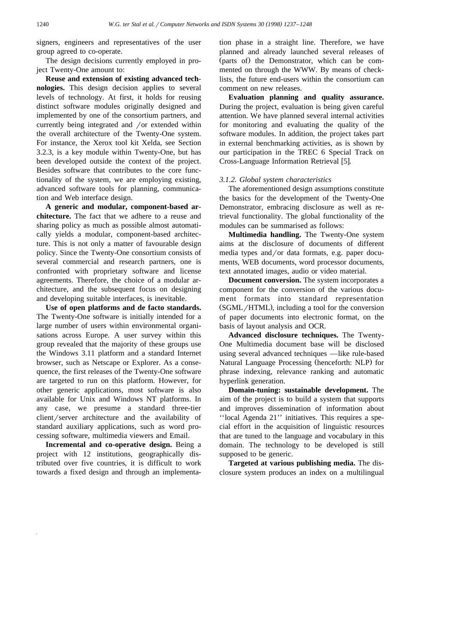signers, engineers and representatives of the user group agreed to co-operate.

The design decisions currently employed in project Twenty-One amount to:

**Reuse and extension of existing advanced technologies.** This design decision applies to several levels of technology. At first, it holds for reusing distinct software modules originally designed and implemented by one of the consortium partners, and currently being integrated and /or extended within the overall architecture of the Twenty-One system. For instance, the Xerox tool kit Xelda, see Section 3.2.3, is a key module within Twenty-One, but has been developed outside the context of the project. Besides software that contributes to the core functionality of the system, we are employing existing, advanced software tools for planning, communication and Web interface design.

**A generic and modular, component-based architecture.** The fact that we adhere to a reuse and sharing policy as much as possible almost automatically yields a modular, component-based architecture. This is not only a matter of favourable design policy. Since the Twenty-One consortium consists of several commercial and research partners, one is confronted with proprietary software and license agreements. Therefore, the choice of a modular architecture, and the subsequent focus on designing and developing suitable interfaces, is inevitable.

**Use of open platforms and de facto standards.** The Twenty-One software is initially intended for a large number of users within environmental organisations across Europe. A user survey within this group revealed that the majority of these groups use the Windows 3.11 platform and a standard Internet browser, such as Netscape or Explorer. As a consequence, the first releases of the Twenty-One software are targeted to run on this platform. However, for other generic applications, most software is also available for Unix and Windows NT platforms. In any case, we presume a standard three-tier client/server architecture and the availability of standard auxiliary applications, such as word processing software, multimedia viewers and Email.

**Incremental and co-operative design.** Being a project with 12 institutions, geographically distributed over five countries, it is difficult to work towards a fixed design and through an implementation phase in a straight line. Therefore, we have planned and already launched several releases of (parts of) the Demonstrator, which can be commented on through the WWW. By means of checklists, the future end-users within the consortium can comment on new releases.

**Evaluation planning and quality assurance.** During the project, evaluation is being given careful attention. We have planned several internal activities for monitoring and evaluating the quality of the software modules. In addition, the project takes part in external benchmarking activities, as is shown by our participation in the TREC 6 Special Track on Cross-Language Information Retrieval [5].

# *3.1.2. Global system characteristics*

The aforementioned design assumptions constitute the basics for the development of the Twenty-One Demonstrator, embracing disclosure as well as retrieval functionality. The global functionality of the modules can be summarised as follows:

**Multimedia handling.** The Twenty-One system aims at the disclosure of documents of different media types and/or data formats, e.g. paper documents, WEB documents, word processor documents, text annotated images, audio or video material.

**Document conversion.** The system incorporates a component for the conversion of the various document formats into standard representation  $(SGML/HTML)$ , including a tool for the conversion of paper documents into electronic format, on the basis of layout analysis and OCR.

**Advanced disclosure techniques.** The Twenty-One Multimedia document base will be disclosed using several advanced techniques —like rule-based Natural Language Processing (henceforth: NLP) for phrase indexing, relevance ranking and automatic hyperlink generation.

**Domain-tuning: sustainable development.** The aim of the project is to build a system that supports and improves dissemination of information about ''local Agenda 21'' initiatives. This requires a special effort in the acquisition of linguistic resources that are tuned to the language and vocabulary in this domain. The technology to be developed is still supposed to be generic.

**Targeted at various publishing media.** The disclosure system produces an index on a multilingual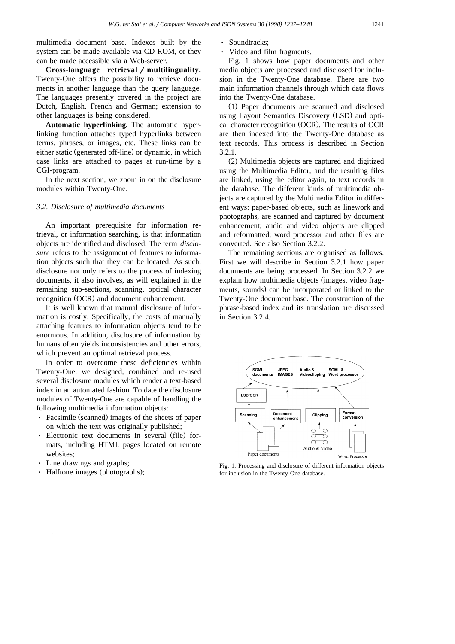multimedia document base. Indexes built by the system can be made available via CD-ROM, or they can be made accessible via a Web-server.

Cross-language retrieval / multilinguality. Twenty-One offers the possibility to retrieve documents in another language than the query language. The languages presently covered in the project are Dutch, English, French and German; extension to other languages is being considered.

**Automatic hyperlinking.** The automatic hyperlinking function attaches typed hyperlinks between terms, phrases, or images, etc. These links can be either static (generated off-line) or dynamic, in which case links are attached to pages at run-time by a CGI-program.

In the next section, we zoom in on the disclosure modules within Twenty-One.

#### *3.2. Disclosure of multimedia documents*

An important prerequisite for information retrieval, or information searching, is that information objects are identified and disclosed. The term *disclosure* refers to the assignment of features to information objects such that they can be located. As such, disclosure not only refers to the process of indexing documents, it also involves, as will explained in the remaining sub-sections, scanning, optical character recognition (OCR) and document enhancement.

It is well known that manual disclosure of information is costly. Specifically, the costs of manually attaching features to information objects tend to be enormous. In addition, disclosure of information by humans often yields inconsistencies and other errors, which prevent an optimal retrieval process.

In order to overcome these deficiencies within Twenty-One, we designed, combined and re-used several disclosure modules which render a text-based index in an automated fashion. To date the disclosure modules of Twenty-One are capable of handling the following multimedia information objects:

- Example (scanned) images of the sheets of paper is on which the text was originally published;
- $\cdot$  Electronic text documents in several (file) formats, including HTML pages located on remote websites;
- Line drawings and graphs;
- Halftone images (photographs);

• Soundtracks:

• Video and film fragments.

Fig. 1 shows how paper documents and other media objects are processed and disclosed for inclusion in the Twenty-One database. There are two main information channels through which data flows into the Twenty-One database.

(1) Paper documents are scanned and disclosed using Layout Semantics Discovery (LSD) and optical character recognition (OCR). The results of OCR are then indexed into the Twenty-One database as text records. This process is described in Section 3.2.1.

(2) Multimedia objects are captured and digitized using the Multimedia Editor, and the resulting files are linked, using the editor again, to text records in the database. The different kinds of multimedia objects are captured by the Multimedia Editor in different ways: paper-based objects, such as linework and photographs, are scanned and captured by document enhancement; audio and video objects are clipped and reformatted; word processor and other files are converted. See also Section 3.2.2.

The remaining sections are organised as follows. First we will describe in Section 3.2.1 how paper documents are being processed. In Section 3.2.2 we explain how multimedia objects (images, video fragments, sounds) can be incorporated or linked to the Twenty-One document base. The construction of the phrase-based index and its translation are discussed in Section 3.2.4.



Fig. 1. Processing and disclosure of different information objects for inclusion in the Twenty-One database.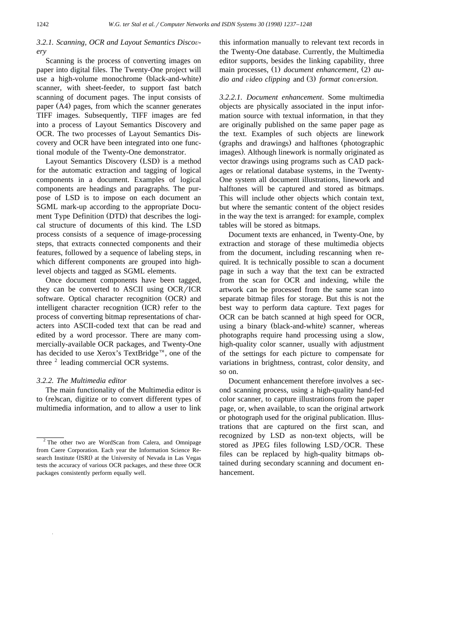# 3.2.1. Scanning, OCR and Layout Semantics Discov*ery*

Scanning is the process of converting images on paper into digital files. The Twenty-One project will use a high-volume monochrome (black-and-white) scanner, with sheet-feeder, to support fast batch scanning of document pages. The input consists of paper (A4) pages, from which the scanner generates TIFF images. Subsequently, TIFF images are fed into a process of Layout Semantics Discovery and OCR. The two processes of Layout Semantics Discovery and OCR have been integrated into one functional module of the Twenty-One demonstrator.

Layout Semantics Discovery (LSD) is a method for the automatic extraction and tagging of logical components in a document. Examples of logical components are headings and paragraphs. The purpose of LSD is to impose on each document an SGML mark-up according to the appropriate Document Type Definition (DTD) that describes the logical structure of documents of this kind. The LSD process consists of a sequence of image-processing steps, that extracts connected components and their features, followed by a sequence of labeling steps, in which different components are grouped into highlevel objects and tagged as SGML elements.

Once document components have been tagged, they can be converted to ASCII using OCR/ICR software. Optical character recognition (OCR) and intelligent character recognition (ICR) refer to the process of converting bitmap representations of characters into ASCII-coded text that can be read and edited by a word processor. There are many commercially-available OCR packages, and Twenty-One has decided to use Xerox's TextBridge<sup>™</sup>, one of the three  $2$  leading commercial OCR systems.

#### *3.2.2. The Multimedia editor*

The main functionality of the Multimedia editor is to (re)scan, digitize or to convert different types of multimedia information, and to allow a user to link this information manually to relevant text records in the Twenty-One database. Currently, the Multimedia editor supports, besides the linking capability, three main processes, (1) *document enhancement*, (2) *audio and video clipping and (3) format conversion.* 

*3.2.2.1. Document enhancement*. Some multimedia objects are physically associated in the input information source with textual information, in that they are originally published on the same paper page as the text. Examples of such objects are linework (graphs and drawings) and halftones (photographic images). Although linework is normally originated as vector drawings using programs such as CAD packages or relational database systems, in the Twenty-One system all document illustrations, linework and halftones will be captured and stored as bitmaps. This will include other objects which contain text, but where the semantic content of the object resides in the way the text is arranged: for example, complex tables will be stored as bitmaps.

Document texts are enhanced, in Twenty-One, by extraction and storage of these multimedia objects from the document, including rescanning when required. It is technically possible to scan a document page in such a way that the text can be extracted from the scan for OCR and indexing, while the artwork can be processed from the same scan into separate bitmap files for storage. But this is not the best way to perform data capture. Text pages for OCR can be batch scanned at high speed for OCR, using a binary (black-and-white) scanner, whereas photographs require hand processing using a slow, high-quality color scanner, usually with adjustment of the settings for each picture to compensate for variations in brightness, contrast, color density, and so on.

Document enhancement therefore involves a second scanning process, using a high-quality hand-fed color scanner, to capture illustrations from the paper page, or, when available, to scan the original artwork or photograph used for the original publication. Illustrations that are captured on the first scan, and recognized by LSD as non-text objects, will be stored as JPEG files following LSD/OCR. These files can be replaced by high-quality bitmaps obtained during secondary scanning and document enhancement.

<sup>2</sup> The other two are WordScan from Calera, and Omnipage from Caere Corporation. Each year the Information Science Research Institute (ISRI) at the University of Nevada in Las Vegas tests the accuracy of various OCR packages, and these three OCR packages consistently perform equally well.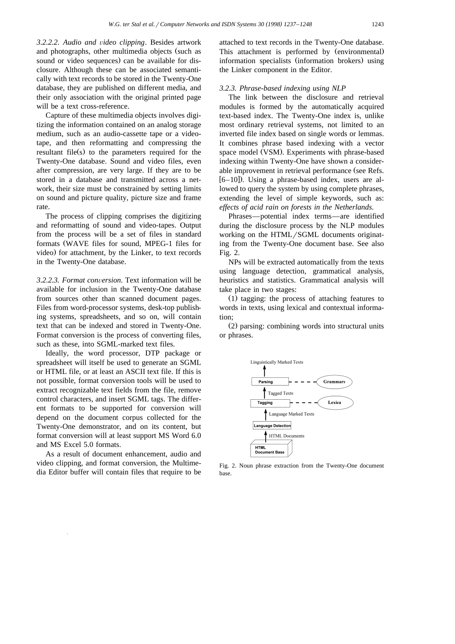*3.2.2.2. Audio and* Õ*ideo clipping*. Besides artwork and photographs, other multimedia objects (such as sound or video sequences) can be available for disclosure. Although these can be associated semantically with text records to be stored in the Twenty-One database, they are published on different media, and their only association with the original printed page will be a text cross-reference.

Capture of these multimedia objects involves digitizing the information contained on an analog storage medium, such as an audio-cassette tape or a videotape, and then reformatting and compressing the resultant file (s) to the parameters required for the Twenty-One database. Sound and video files, even after compression, are very large. If they are to be stored in a database and transmitted across a network, their size must be constrained by setting limits on sound and picture quality, picture size and frame rate.

The process of clipping comprises the digitizing and reformatting of sound and video-tapes. Output from the process will be a set of files in standard formats (WAVE files for sound, MPEG-1 files for video) for attachment, by the Linker, to text records in the Twenty-One database.

3.2.2.3. Format conversion. Text information will be available for inclusion in the Twenty-One database from sources other than scanned document pages. Files from word-processor systems, desk-top publishing systems, spreadsheets, and so on, will contain text that can be indexed and stored in Twenty-One. Format conversion is the process of converting files, such as these, into SGML-marked text files.

Ideally, the word processor, DTP package or spreadsheet will itself be used to generate an SGML or HTML file, or at least an ASCII text file. If this is not possible, format conversion tools will be used to extract recognizable text fields from the file, remove control characters, and insert SGML tags. The different formats to be supported for conversion will depend on the document corpus collected for the Twenty-One demonstrator, and on its content, but format conversion will at least support MS Word 6.0 and MS Excel 5.0 formats.

As a result of document enhancement, audio and video clipping, and format conversion, the Multimedia Editor buffer will contain files that require to be

attached to text records in the Twenty-One database. This attachment is performed by (environmental) information specialists (information brokers) using the Linker component in the Editor.

#### *3.2.3. Phrase-based indexing using NLP*

The link between the disclosure and retrieval modules is formed by the automatically acquired text-based index. The Twenty-One index is, unlike most ordinary retrieval systems, not limited to an inverted file index based on single words or lemmas. It combines phrase based indexing with a vector space model (VSM). Experiments with phrase-based indexing within Twenty-One have shown a considerable improvement in retrieval performance (see Refs.  $\overline{[6-10]}$ . Using a phrase-based index, users are allowed to query the system by using complete phrases, extending the level of simple keywords, such as: *effects of acid rain on forests in the Netherlands*.

Phrases—potential index terms—are identified during the disclosure process by the NLP modules working on the HTML/SGML documents originating from the Twenty-One document base. See also Fig. 2.

NPs will be extracted automatically from the texts using language detection, grammatical analysis, heuristics and statistics. Grammatical analysis will take place in two stages:

 $(1)$  tagging: the process of attaching features to words in texts, using lexical and contextual information;

 $(2)$  parsing: combining words into structural units or phrases.



Fig. 2. Noun phrase extraction from the Twenty-One document base.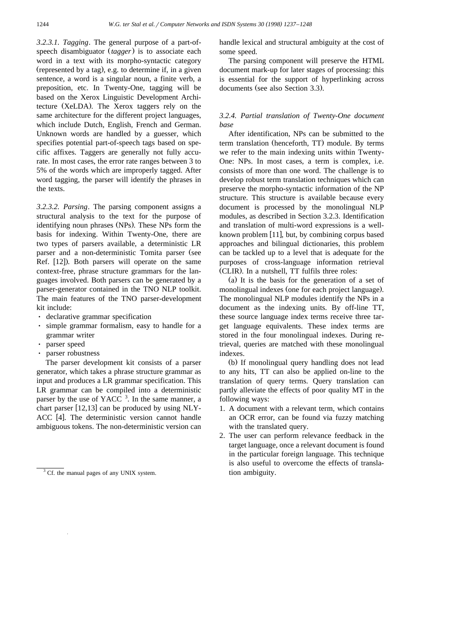*3.2.3.1. Tagging*. The general purpose of a part-ofspeech disambiguator *(tagger)* is to associate each word in a text with its morpho-syntactic category  $(represented by a tag)$ , e.g. to determine if, in a given sentence, a word is a singular noun, a finite verb, a preposition, etc. In Twenty-One, tagging will be based on the Xerox Linguistic Development Architecture (XeLDA). The Xerox taggers rely on the same architecture for the different project languages, which include Dutch, English, French and German. Unknown words are handled by a guesser, which specifies potential part-of-speech tags based on specific affixes. Taggers are generally not fully accurate. In most cases, the error rate ranges between 3 to 5% of the words which are improperly tagged. After word tagging, the parser will identify the phrases in the texts.

*3.2.3.2. Parsing*. The parsing component assigns a structural analysis to the text for the purpose of identifying noun phrases (NPs). These NPs form the basis for indexing. Within Twenty-One, there are two types of parsers available, a deterministic LR parser and a non-deterministic Tomita parser (see Ref. [12]). Both parsers will operate on the same context-free, phrase structure grammars for the languages involved. Both parsers can be generated by a parser-generator contained in the TNO NLP toolkit. The main features of the TNO parser-development kit include:

- declarative grammar specification
- simple grammar formalism, easy to handle for a grammar writer
- parser speed
- parser robustness

The parser development kit consists of a parser generator, which takes a phrase structure grammar as input and produces a LR grammar specification. This LR grammar can be compiled into a deterministic parser by the use of YACC<sup>3</sup>. In the same manner, a chart parser  $[12,13]$  can be produced by using NLY-ACC [4]. The deterministic version cannot handle ambiguous tokens. The non-deterministic version can handle lexical and structural ambiguity at the cost of some speed.

The parsing component will preserve the HTML document mark-up for later stages of processing: this is essential for the support of hyperlinking across documents (see also Section 3.3).

# *3.2.4. Partial translation of Twenty-One document base*

After identification, NPs can be submitted to the term translation (henceforth, TT) module. By terms we refer to the main indexing units within Twenty-One: NPs. In most cases, a term is complex, i.e. consists of more than one word. The challenge is to develop robust term translation techniques which can preserve the morpho-syntactic information of the NP structure. This structure is available because every document is processed by the monolingual NLP modules, as described in Section 3.2.3. Identification and translation of multi-word expressions is a wellknown problem  $[11]$ , but, by combining corpus based approaches and bilingual dictionaries, this problem can be tackled up to a level that is adequate for the purposes of cross-language information retrieval (CLIR). In a nutshell, TT fulfils three roles:

(a) It is the basis for the generation of a set of monolingual indexes (one for each project language). The monolingual NLP modules identify the NPs in a document as the indexing units. By off-line TT, these source language index terms receive three target language equivalents. These index terms are stored in the four monolingual indexes. During retrieval, queries are matched with these monolingual indexes.

(b) If monolingual query handling does not lead to any hits, TT can also be applied on-line to the translation of query terms. Query translation can partly alleviate the effects of poor quality MT in the following ways:

- 1. A document with a relevant term, which contains an OCR error, can be found via fuzzy matching with the translated query.
- 2. The user can perform relevance feedback in the target language, once a relevant document is found in the particular foreign language. This technique is also useful to overcome the effects of translation ambiguity.

 $3^3$  Cf. the manual pages of any UNIX system.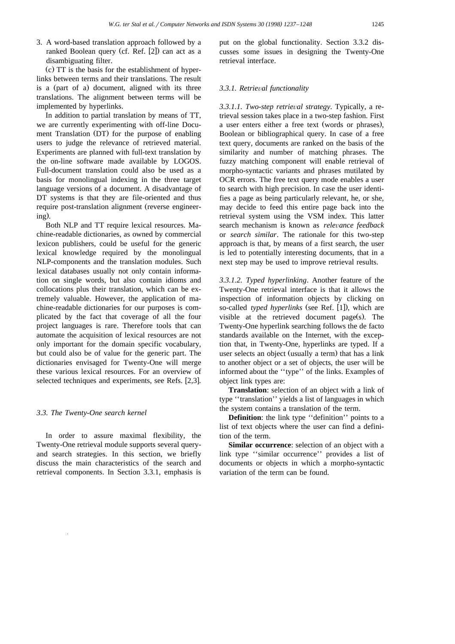3. A word-based translation approach followed by a ranked Boolean query (cf. Ref. [2]) can act as a disambiguating filter.

 $(c)$  TT is the basis for the establishment of hyperlinks between terms and their translations. The result is a (part of a) document, aligned with its three translations. The alignment between terms will be implemented by hyperlinks.

In addition to partial translation by means of TT, we are currently experimenting with off-line Document Translation (DT) for the purpose of enabling users to judge the relevance of retrieved material. Experiments are planned with full-text translation by the on-line software made available by LOGOS. Full-document translation could also be used as a basis for monolingual indexing in the three target language versions of a document. A disadvantage of DT systems is that they are file-oriented and thus require post-translation alignment (reverse engineer $inp$ ).

Both NLP and TT require lexical resources. Machine-readable dictionaries, as owned by commercial lexicon publishers, could be useful for the generic lexical knowledge required by the monolingual NLP-components and the translation modules. Such lexical databases usually not only contain information on single words, but also contain idioms and collocations plus their translation, which can be extremely valuable. However, the application of machine-readable dictionaries for our purposes is complicated by the fact that coverage of all the four project languages is rare. Therefore tools that can automate the acquisition of lexical resources are not only important for the domain specific vocabulary, but could also be of value for the generic part. The dictionaries envisaged for Twenty-One will merge these various lexical resources. For an overview of selected techniques and experiments, see Refs. [2,3].

#### *3.3. The Twenty-One search kernel*

In order to assure maximal flexibility, the Twenty-One retrieval module supports several queryand search strategies. In this section, we briefly discuss the main characteristics of the search and retrieval components. In Section 3.3.1, emphasis is

put on the global functionality. Section 3.3.2 discusses some issues in designing the Twenty-One retrieval interface.

#### *3.3.1. Retrie*Õ*al functionality*

*3.3.1.1. Two-step retrieval strategy.* Typically, a retrieval session takes place in a two-step fashion. First a user enters either a free text (words or phrases), Boolean or bibliographical query. In case of a free text query, documents are ranked on the basis of the similarity and number of matching phrases. The fuzzy matching component will enable retrieval of morpho-syntactic variants and phrases mutilated by OCR errors. The free text query mode enables a user to search with high precision. In case the user identifies a page as being particularly relevant, he, or she, may decide to feed this entire page back into the retrieval system using the VSM index. This latter search mechanism is known as *relevance* feedback or *search similar*. The rationale for this two-step approach is that, by means of a first search, the user is led to potentially interesting documents, that in a next step may be used to improve retrieval results.

*3.3.1.2. Typed hyperlinking*. Another feature of the Twenty-One retrieval interface is that it allows the inspection of information objects by clicking on so-called *typed hyperlinks* (see Ref. [1]), which are visible at the retrieved document page(s). The Twenty-One hyperlink searching follows the de facto standards available on the Internet, with the exception that, in Twenty-One, hyperlinks are typed. If a user selects an object (usually a term) that has a link to another object or a set of objects, the user will be informed about the ''type'' of the links. Examples of object link types are:

**Translation**: selection of an object with a link of type ''translation'' yields a list of languages in which the system contains a translation of the term.

**Definition**: the link type "definition" points to a list of text objects where the user can find a definition of the term.

**Similar occurrence**: selection of an object with a link type ''similar occurrence'' provides a list of documents or objects in which a morpho-syntactic variation of the term can be found.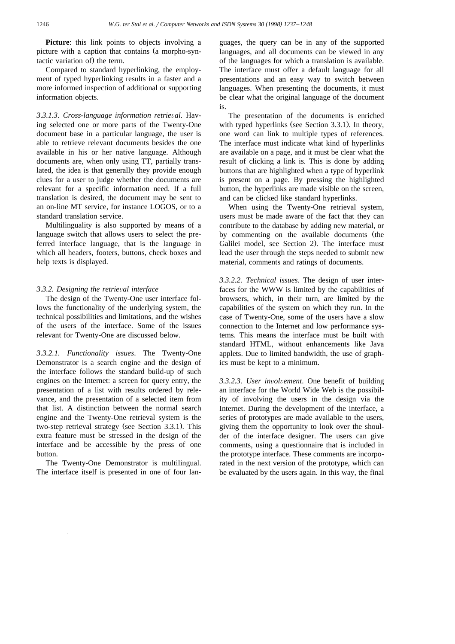Picture: this link points to objects involving a picture with a caption that contains (a morpho-syntactic variation of) the term.

Compared to standard hyperlinking, the employment of typed hyperlinking results in a faster and a more informed inspection of additional or supporting information objects.

*3.3.1.3. Cross-language information retrieval.* Having selected one or more parts of the Twenty-One document base in a particular language, the user is able to retrieve relevant documents besides the one available in his or her native language. Although documents are, when only using TT, partially translated, the idea is that generally they provide enough clues for a user to judge whether the documents are relevant for a specific information need. If a full translation is desired, the document may be sent to an on-line MT service, for instance LOGOS, or to a standard translation service.

Multilinguality is also supported by means of a language switch that allows users to select the preferred interface language, that is the language in which all headers, footers, buttons, check boxes and help texts is displayed.

#### *3.3.2. Designing the retrie*Õ*al interface*

The design of the Twenty-One user interface follows the functionality of the underlying system, the technical possibilities and limitations, and the wishes of the users of the interface. Some of the issues relevant for Twenty-One are discussed below.

*3.3.2.1. Functionality issues*. The Twenty-One Demonstrator is a search engine and the design of the interface follows the standard build-up of such engines on the Internet: a screen for query entry, the presentation of a list with results ordered by relevance, and the presentation of a selected item from that list. A distinction between the normal search engine and the Twenty-One retrieval system is the two-step retrieval strategy (see Section 3.3.1). This extra feature must be stressed in the design of the interface and be accessible by the press of one button.

The Twenty-One Demonstrator is multilingual. The interface itself is presented in one of four lan-

guages, the query can be in any of the supported languages, and all documents can be viewed in any of the languages for which a translation is available. The interface must offer a default language for all presentations and an easy way to switch between languages. When presenting the documents, it must be clear what the original language of the document is.

The presentation of the documents is enriched with typed hyperlinks (see Section  $3.3.1$ ). In theory, one word can link to multiple types of references. The interface must indicate what kind of hyperlinks are available on a page, and it must be clear what the result of clicking a link is. This is done by adding buttons that are highlighted when a type of hyperlink is present on a page. By pressing the highlighted button, the hyperlinks are made visible on the screen, and can be clicked like standard hyperlinks.

When using the Twenty-One retrieval system, users must be made aware of the fact that they can contribute to the database by adding new material, or by commenting on the available documents (the Galilei model, see Section 2). The interface must lead the user through the steps needed to submit new material, comments and ratings of documents.

*3.3.2.2. Technical issues*. The design of user interfaces for the WWW is limited by the capabilities of browsers, which, in their turn, are limited by the capabilities of the system on which they run. In the case of Twenty-One, some of the users have a slow connection to the Internet and low performance systems. This means the interface must be built with standard HTML, without enhancements like Java applets. Due to limited bandwidth, the use of graphics must be kept to a minimum.

*3.3.2.3. User involvement.* One benefit of building an interface for the World Wide Web is the possibility of involving the users in the design via the Internet. During the development of the interface, a series of prototypes are made available to the users, giving them the opportunity to look over the shoulder of the interface designer. The users can give comments, using a questionnaire that is included in the prototype interface. These comments are incorporated in the next version of the prototype, which can be evaluated by the users again. In this way, the final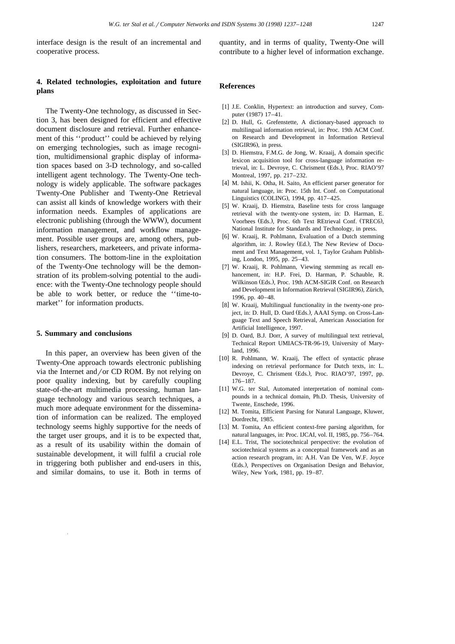interface design is the result of an incremental and cooperative process.

# **4. Related technologies, exploitation and future plans**

The Twenty-One technology, as discussed in Section 3, has been designed for efficient and effective document disclosure and retrieval. Further enhancement of this ''product'' could be achieved by relying on emerging technologies, such as image recognition, multidimensional graphic display of information spaces based on 3-D technology, and so-called intelligent agent technology. The Twenty-One technology is widely applicable. The software packages Twenty-One Publisher and Twenty-One Retrieval can assist all kinds of knowledge workers with their information needs. Examples of applications are electronic publishing (through the WWW), document information management, and workflow management. Possible user groups are, among others, publishers, researchers, marketeers, and private information consumers. The bottom-line in the exploitation of the Twenty-One technology will be the demonstration of its problem-solving potential to the audience: with the Twenty-One technology people should be able to work better, or reduce the ''time-tomarket'' for information products.

#### **5. Summary and conclusions**

In this paper, an overview has been given of the Twenty-One approach towards electronic publishing via the Internet and/or CD ROM. By not relying on poor quality indexing, but by carefully coupling state-of-the-art multimedia processing, human language technology and various search techniques, a much more adequate environment for the dissemination of information can be realized. The employed technology seems highly supportive for the needs of the target user groups, and it is to be expected that, as a result of its usability within the domain of sustainable development, it will fulfil a crucial role in triggering both publisher and end-users in this, and similar domains, to use it. Both in terms of quantity, and in terms of quality, Twenty-One will contribute to a higher level of information exchange.

#### **References**

- [1] J.E. Conklin, Hypertext: an introduction and survey, Computer (1987) 17–41.
- [2] D. Hull, G. Grefenstette, A dictionary-based approach to multilingual information retrieval, in: Proc. 19th ACM Conf. on Research and Development in Information Retrieval  $(SIGIR96)$ , in press.
- [3] D. Hiemstra, F.M.G. de Jong, W. Kraaij, A domain specific lexicon acquisition tool for cross-language information retrieval, in: L. Devroye, C. Chrisment (Eds.), Proc. RIAO'97 Montreal, 1997, pp. 217–232.
- [4] M. Ishii, K. Otha, H. Saito, An efficient parser generator for natural language, in: Proc. 15th Int. Conf. on Computational Linguistics (COLING), 1994, pp. 417-425.
- [5] W. Kraaij, D. Hiemstra, Baseline tests for cross language retrieval with the twenty-one system, in: D. Harman, E. Voorhees (Eds.), Proc. 6th Text REtrieval Conf. (TREC6), National Institute for Standards and Technology, in press.
- [6] W. Kraaij, R. Pohlmann, Evaluation of a Dutch stemming algorithm, in: J. Rowley (Ed.), The New Review of Document and Text Management, vol. 1, Taylor Graham Publishing, London, 1995, pp. 25–43.
- [7] W. Kraaij, R. Pohlmann, Viewing stemming as recall enhancement, in: H.P. Frei, D. Harman, P. Schauble, R. Wilkinson (Eds.), Proc. 19th ACM-SIGIR Conf. on Research and Development in Information Retrieval (SIGIR96), Zürich, 1996, pp. 40–48.
- [8] W. Kraaij, Multilingual functionality in the twenty-one project, in: D. Hull, D. Oard (Eds.), AAAI Symp. on Cross-Language Text and Speech Retrieval, American Association for Artificial Intelligence, 1997.
- [9] D. Oard, B.J. Dorr, A survey of multilingual text retrieval, Technical Report UMIACS-TR-96-19, University of Maryland, 1996.
- [10] R. Pohlmann, W. Kraaij, The effect of syntactic phrase indexing on retrieval performance for Dutch texts, in: L. Devroye, C. Chrisment (Eds.), Proc. RIAO'97, 1997, pp. 176–187.
- [11] W.G. ter Stal, Automated interpretation of nominal compounds in a technical domain, Ph.D. Thesis, University of Twente, Enschede, 1996.
- [12] M. Tomita, Efficient Parsing for Natural Language, Kluwer, Dordrecht, 1985.
- [13] M. Tomita, An efficient context-free parsing algorithm, for natural languages, in: Proc. IJCAI, vol. II, 1985, pp. 756–764.
- [14] E.L. Trist, The sociotechnical perspective: the evolution of sociotechnical systems as a conceptual framework and as an action research program, in: A.H. Van De Ven, W.F. Joyce (Eds.), Perspectives on Organisation Design and Behavior, Wiley, New York, 1981, pp. 19–87.